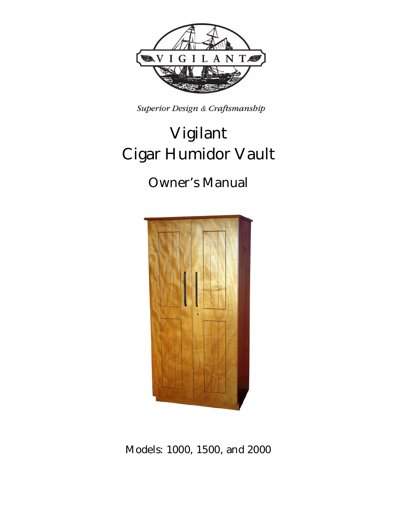

Superior Design & Craftsmanship

# **Vigilant Cigar Humidor Vault**

# **Owner's Manual**



**Models: 1000, 1500, and 2000**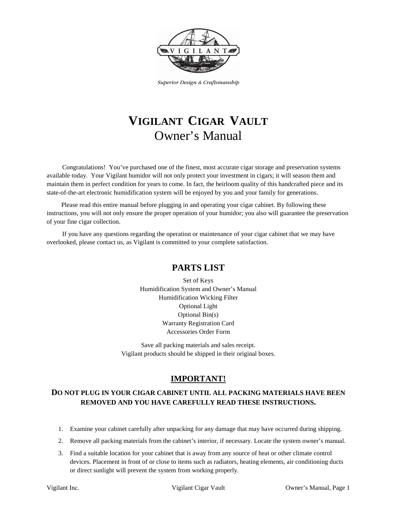

Superior Design & Craftsmanship

# **VIGILANT CIGAR VAULT** Owner's Manual

Congratulations! You've purchased one of the finest, most accurate cigar storage and preservation systems available today. Your Vigilant humidor will not only protect your investment in cigars; it will season them and maintain them in perfect condition for years to come. In fact, the heirloom quality of this handcrafted piece and its state-of-the-art electronic humidification system will be enjoyed by you and your family for generations.

Please read this entire manual before plugging in and operating your cigar cabinet. By following these instructions, you will not only ensure the proper operation of your humidor; you also will guarantee the preservation of your fine cigar collection.

If you have any questions regarding the operation or maintenance of your cigar cabinet that we may have overlooked, please contact us, as Vigilant is committed to your complete satisfaction.

## **PARTS LIST**

Set of Keys Humidification System and Owner's Manual Humidification Wicking Filter Optional Light Optional Bin(s) Warranty Registration Card Accessories Order Form

Save all packing materials and sales receipt. Vigilant products should be shipped in their original boxes.

## **IMPORTANT!**

## **DO NOT PLUG IN YOUR CIGAR CABINET UNTIL ALL PACKING MATERIALS HAVE BEEN REMOVED AND YOU HAVE CAREFULLY READ THESE INSTRUCTIONS.**

- 1. Examine your cabinet carefully after unpacking for any damage that may have occurred during shipping.
- 2. Remove all packing materials from the cabinet's interior, if necessary. Locate the system owner's manual.
- 3. Find a suitable location for your cabinet that is away from any source of heat or other climate control devices. Placement in front of or close to items such as radiators, heating elements, air conditioning ducts or direct sunlight will prevent the system from working properly.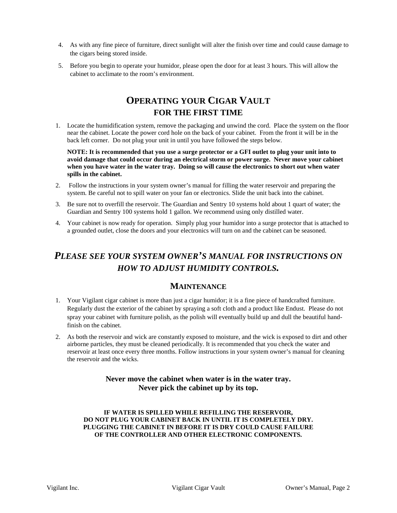- 4. As with any fine piece of furniture, direct sunlight will alter the finish over time and could cause damage to the cigars being stored inside.
- 5. Before you begin to operate your humidor, please open the door for at least 3 hours. This will allow the cabinet to acclimate to the room's environment.

# **OPERATING YOUR CIGAR VAULT FOR THE FIRST TIME**

1. Locate the humidification system, remove the packaging and unwind the cord. Place the system on the floor near the cabinet. Locate the power cord hole on the back of your cabinet. From the front it will be in the back left corner. Do not plug your unit in until you have followed the steps below.

**NOTE: It is recommended that you use a surge protector or a GFI outlet to plug your unit into to avoid damage that could occur during an electrical storm or power surge. Never move your cabinet when you have water in the water tray. Doing so will cause the electronics to short out when water spills in the cabinet.**

- 2. Follow the instructions in your system owner's manual for filling the water reservoir and preparing the system. Be careful not to spill water on your fan or electronics. Slide the unit back into the cabinet.
- 3. Be sure not to overfill the reservoir. The Guardian and Sentry 10 systems hold about 1 quart of water; the Guardian and Sentry 100 systems hold 1 gallon. We recommend using only distilled water.
- 4. Your cabinet is now ready for operation. Simply plug your humidor into a surge protector that is attached to a grounded outlet, close the doors and your electronics will turn on and the cabinet can be seasoned.

# *PLEASE SEE YOUR SYSTEM OWNER'S MANUAL FOR INSTRUCTIONS ON HOW TO ADJUST HUMIDITY CONTROLS.*

## **MAINTENANCE**

- 1. Your Vigilant cigar cabinet is more than just a cigar humidor; it is a fine piece of handcrafted furniture. Regularly dust the exterior of the cabinet by spraying a soft cloth and a product like Endust. Please do not spray your cabinet with furniture polish, as the polish will eventually build up and dull the beautiful handfinish on the cabinet.
- 2. As both the reservoir and wick are constantly exposed to moisture, and the wick is exposed to dirt and other airborne particles, they must be cleaned periodically. It is recommended that you check the water and reservoir at least once every three months. Follow instructions in your system owner's manual for cleaning the reservoir and the wicks.

## **Never move the cabinet when water is in the water tray. Never pick the cabinet up by its top.**

#### **IF WATER IS SPILLED WHILE REFILLING THE RESERVOIR, DO NOT PLUG YOUR CABINET BACK IN UNTIL IT IS COMPLETELY DRY. PLUGGING THE CABINET IN BEFORE IT IS DRY COULD CAUSE FAILURE OF THE CONTROLLER AND OTHER ELECTRONIC COMPONENTS.**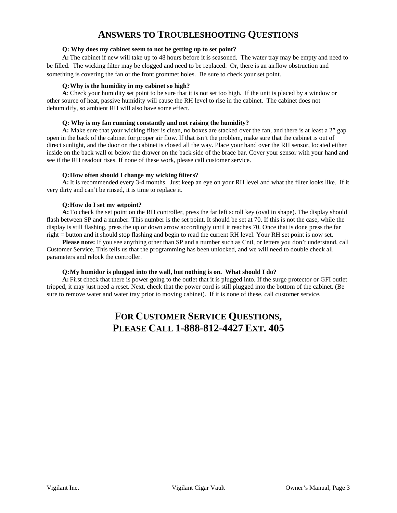# **ANSWERS TO TROUBLESHOOTING QUESTIONS**

#### **Q: Why does my cabinet seem to not be getting up to set point?**

**A:**The cabinet if new will take up to 48 hours before it is seasoned. The water tray may be empty and need to be filled. The wicking filter may be clogged and need to be replaced. Or, there is an airflow obstruction and something is covering the fan or the front grommet holes. Be sure to check your set point.

#### **Q: Why is the humidity in my cabinet so high?**

**A**: Check your humidity set point to be sure that it is not set too high. If the unit is placed by a window or other source of heat, passive humidity will cause the RH level to rise in the cabinet. The cabinet does not dehumidify, so ambient RH will also have some effect.

#### **Q: Why is my fan running constantly and not raising the humidity?**

**A:** Make sure that your wicking filter is clean, no boxes are stacked over the fan, and there is at least a 2" gap open in the back of the cabinet for proper air flow. If that isn't the problem, make sure that the cabinet is out of direct sunlight, and the door on the cabinet is closed all the way. Place your hand over the RH sensor, located either inside on the back wall or below the drawer on the back side of the brace bar. Cover your sensor with your hand and see if the RH readout rises. If none of these work, please call customer service.

#### **Q:How often should I change my wicking filters?**

**A:**It is recommended every 3-4 months. Just keep an eye on your RH level and what the filter looks like. If it very dirty and can't be rinsed, it is time to replace it.

#### **Q:How do I set my setpoint?**

**A:**To check the set point on the RH controller, press the far left scroll key (oval in shape). The display should flash between SP and a number. This number is the set point. It should be set at 70. If this is not the case, while the display is still flashing, press the up or down arrow accordingly until it reaches 70. Once that is done press the far right = button and it should stop flashing and begin to read the current RH level. Your RH set point is now set.

**Please note:** If you see anything other than SP and a number such as Cntl, or letters you don't understand, call Customer Service. This tells us that the programming has been unlocked, and we will need to double check all parameters and relock the controller.

#### **Q:My humidor is plugged into the wall, but nothing is on. What should I do?**

**A:** First check that there is power going to the outlet that it is plugged into. If the surge protector or GFI outlet tripped, it may just need a reset. Next, check that the power cord is still plugged into the bottom of the cabinet. (Be sure to remove water and water tray prior to moving cabinet). If it is none of these, call customer service.

# **FOR CUSTOMER SERVICE QUESTIONS, PLEASE CALL 1-888-812-4427 EXT. 405**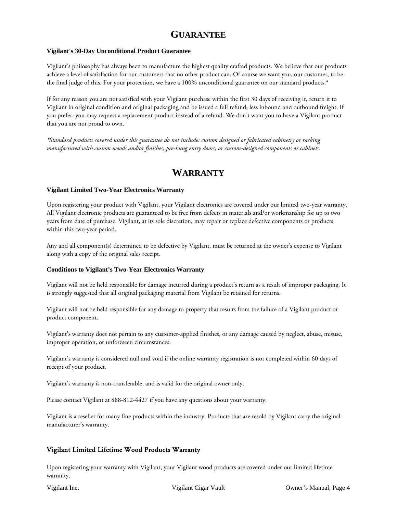# **GUARANTEE**

#### **Vigilant's 30-Day Unconditional Product Guarantee**

Vigilant's philosophy has always been to manufacture the highest quality crafted products. We believe that our products achieve a level of satisfaction for our customers that no other product can. Of course we want you, our customer, to be the final judge of this. For your protection, we have a 100% unconditional guarantee on our standard products.\*

If for any reason you are not satisfied with your Vigilant purchase within the first 30 days of receiving it, return it to Vigilant in original condition and original packaging and be issued a full refund, less inbound and outbound freight. If you prefer, you may request a replacement product instead of a refund. We don't want you to have a Vigilant product that you are not proud to own.

*\*Standard products covered under this guarantee do not include: custom designed or fabricated cabinetry or racking manufactured with custom woods and/or finishes; pre-hung entry doors; or custom-designed components or cabinets.*

# **WARRANTY**

#### **Vigilant Limited Two-Year Electronics Warranty**

Upon registering your product with Vigilant, your Vigilant electronics are covered under our limited two-year warranty. All Vigilant electronic products are guaranteed to be free from defects in materials and/or workmanship for up to two years from date of purchase. Vigilant, at its sole discretion, may repair or replace defective components or products within this two-year period.

Any and all component(s) determined to be defective by Vigilant, must be returned at the owner's expense to Vigilant along with a copy of the original sales receipt.

#### **Conditions to Vigilant's Two-Year Electronics Warranty**

Vigilant will not be held responsible for damage incurred during a product's return as a result of improper packaging. It is strongly suggested that all original packaging material from Vigilant be retained for returns.

Vigilant will not be held responsible for any damage to property that results from the failure of a Vigilant product or product component.

Vigilant's warranty does not pertain to any customer-applied finishes, or any damage caused by neglect, abuse, misuse, improper operation, or unforeseen circumstances.

Vigilant's warranty is considered null and void if the online warranty registration is not completed within 60 days of receipt of your product.

Vigilant's warranty is non-transferable, and is valid for the original owner only.

Please contact Vigilant at 888-812-4427 if you have any questions about your warranty.

Vigilant is a reseller for many fine products within the industry. Products that are resold by Vigilant carry the original manufacturer's warranty.

### Vigilant Limited Lifetime Wood Products Warranty

Upon registering your warranty with Vigilant, your Vigilant wood products are covered under our limited lifetime warranty.